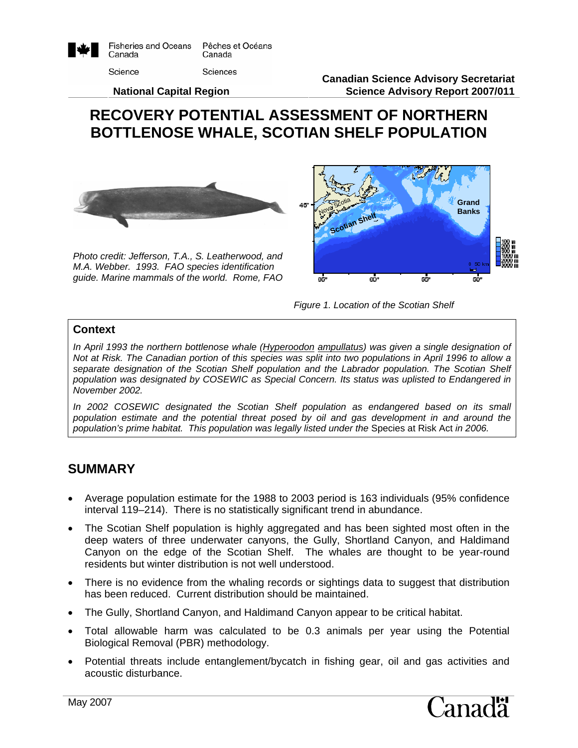

**Canadian Science Advisory Secretariat Science Advisory Report 2007/011**

#### **National Capital Region**

# **RECOVERY POTENTIAL ASSESSMENT OF NORTHERN BOTTLENOSE WHALE, SCOTIAN SHELF POPULATION**



*Photo credit: Jefferson, T.A., S. Leatherwood, and M.A. Webber. 1993. FAO species identification guide. Marine mammals of the world. Rome, FAO* 





#### **Context**

*In April 1993 the northern bottlenose whale (Hyperoodon ampullatus) was given a single designation of Not at Risk. The Canadian portion of this species was split into two populations in April 1996 to allow a*  separate designation of the Scotian Shelf population and the Labrador population. The Scotian Shelf *population was designated by COSEWIC as Special Concern. Its status was uplisted to Endangered in November 2002.* 

In 2002 COSEWIC designated the Scotian Shelf population as endangered based on its small *population estimate and the potential threat posed by oil and gas development in and around the population's prime habitat. This population was legally listed under the* Species at Risk Act *in 2006.*

#### **SUMMARY**

- Average population estimate for the 1988 to 2003 period is 163 individuals (95% confidence interval 119–214). There is no statistically significant trend in abundance.
- The Scotian Shelf population is highly aggregated and has been sighted most often in the deep waters of three underwater canyons, the Gully, Shortland Canyon, and Haldimand Canyon on the edge of the Scotian Shelf. The whales are thought to be year-round residents but winter distribution is not well understood.
- There is no evidence from the whaling records or sightings data to suggest that distribution has been reduced. Current distribution should be maintained.
- The Gully, Shortland Canyon, and Haldimand Canyon appear to be critical habitat.
- Total allowable harm was calculated to be 0.3 animals per year using the Potential Biological Removal (PBR) methodology.
- Potential threats include entanglement/bycatch in fishing gear, oil and gas activities and acoustic disturbance.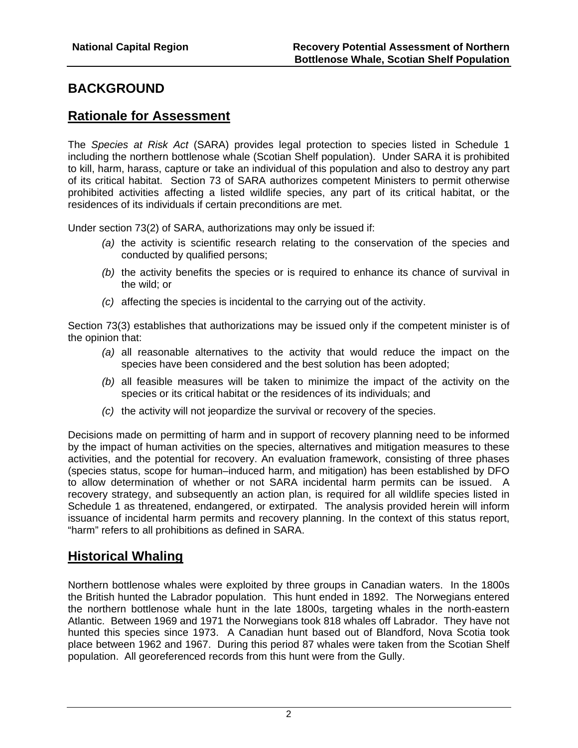# **BACKGROUND**

## **Rationale for Assessment**

The *Species at Risk Act* (SARA) provides legal protection to species listed in Schedule 1 including the northern bottlenose whale (Scotian Shelf population). Under SARA it is prohibited to kill, harm, harass, capture or take an individual of this population and also to destroy any part of its critical habitat. Section 73 of SARA authorizes competent Ministers to permit otherwise prohibited activities affecting a listed wildlife species, any part of its critical habitat, or the residences of its individuals if certain preconditions are met.

Under section 73(2) of SARA, authorizations may only be issued if:

- *(a)* the activity is scientific research relating to the conservation of the species and conducted by qualified persons;
- *(b)* the activity benefits the species or is required to enhance its chance of survival in the wild; or
- *(c)* affecting the species is incidental to the carrying out of the activity.

Section 73(3) establishes that authorizations may be issued only if the competent minister is of the opinion that:

- *(a)* all reasonable alternatives to the activity that would reduce the impact on the species have been considered and the best solution has been adopted;
- *(b)* all feasible measures will be taken to minimize the impact of the activity on the species or its critical habitat or the residences of its individuals; and
- *(c)* the activity will not jeopardize the survival or recovery of the species.

Decisions made on permitting of harm and in support of recovery planning need to be informed by the impact of human activities on the species, alternatives and mitigation measures to these activities, and the potential for recovery. An evaluation framework, consisting of three phases (species status, scope for human–induced harm, and mitigation) has been established by DFO to allow determination of whether or not SARA incidental harm permits can be issued. A recovery strategy, and subsequently an action plan, is required for all wildlife species listed in Schedule 1 as threatened, endangered, or extirpated. The analysis provided herein will inform issuance of incidental harm permits and recovery planning. In the context of this status report, "harm" refers to all prohibitions as defined in SARA.

# **Historical Whaling**

Northern bottlenose whales were exploited by three groups in Canadian waters. In the 1800s the British hunted the Labrador population. This hunt ended in 1892. The Norwegians entered the northern bottlenose whale hunt in the late 1800s, targeting whales in the north-eastern Atlantic. Between 1969 and 1971 the Norwegians took 818 whales off Labrador. They have not hunted this species since 1973. A Canadian hunt based out of Blandford, Nova Scotia took place between 1962 and 1967. During this period 87 whales were taken from the Scotian Shelf population. All georeferenced records from this hunt were from the Gully.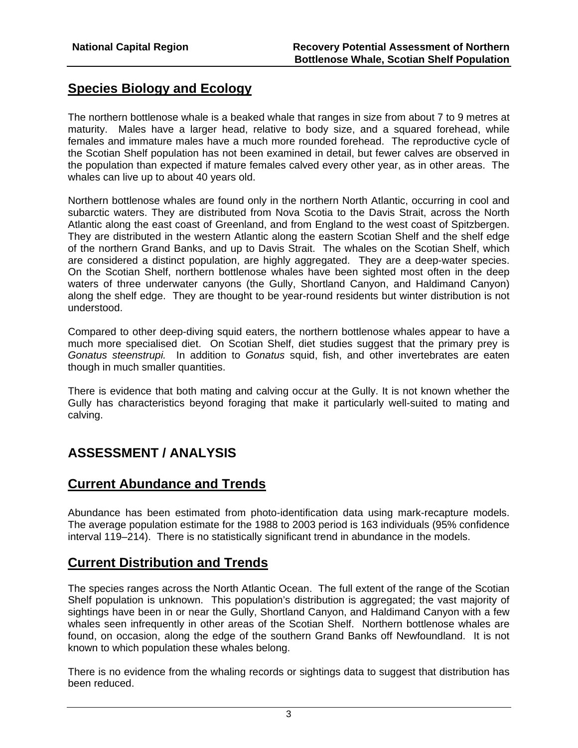# **Species Biology and Ecology**

The northern bottlenose whale is a beaked whale that ranges in size from about 7 to 9 metres at maturity. Males have a larger head, relative to body size, and a squared forehead, while females and immature males have a much more rounded forehead. The reproductive cycle of the Scotian Shelf population has not been examined in detail, but fewer calves are observed in the population than expected if mature females calved every other year, as in other areas. The whales can live up to about 40 years old.

Northern bottlenose whales are found only in the northern North Atlantic, occurring in cool and subarctic waters. They are distributed from Nova Scotia to the Davis Strait, across the North Atlantic along the east coast of Greenland, and from England to the west coast of Spitzbergen. They are distributed in the western Atlantic along the eastern Scotian Shelf and the shelf edge of the northern Grand Banks, and up to Davis Strait. The whales on the Scotian Shelf, which are considered a distinct population, are highly aggregated. They are a deep-water species. On the Scotian Shelf, northern bottlenose whales have been sighted most often in the deep waters of three underwater canyons (the Gully, Shortland Canyon, and Haldimand Canyon) along the shelf edge. They are thought to be year-round residents but winter distribution is not understood.

Compared to other deep-diving squid eaters, the northern bottlenose whales appear to have a much more specialised diet. On Scotian Shelf, diet studies suggest that the primary prey is *Gonatus steenstrupi.* In addition to *Gonatus* squid, fish, and other invertebrates are eaten though in much smaller quantities.

There is evidence that both mating and calving occur at the Gully. It is not known whether the Gully has characteristics beyond foraging that make it particularly well-suited to mating and calving.

# **ASSESSMENT / ANALYSIS**

### **Current Abundance and Trends**

Abundance has been estimated from photo-identification data using mark-recapture models. The average population estimate for the 1988 to 2003 period is 163 individuals (95% confidence interval 119–214). There is no statistically significant trend in abundance in the models.

# **Current Distribution and Trends**

The species ranges across the North Atlantic Ocean. The full extent of the range of the Scotian Shelf population is unknown. This population's distribution is aggregated; the vast majority of sightings have been in or near the Gully, Shortland Canyon, and Haldimand Canyon with a few whales seen infrequently in other areas of the Scotian Shelf. Northern bottlenose whales are found, on occasion, along the edge of the southern Grand Banks off Newfoundland. It is not known to which population these whales belong.

There is no evidence from the whaling records or sightings data to suggest that distribution has been reduced.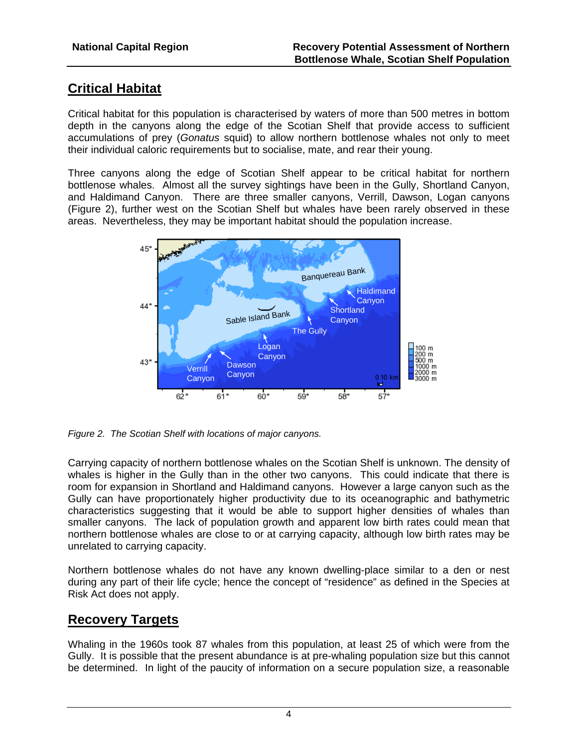# **Critical Habitat**

Critical habitat for this population is characterised by waters of more than 500 metres in bottom depth in the canyons along the edge of the Scotian Shelf that provide access to sufficient accumulations of prey (*Gonatus* squid) to allow northern bottlenose whales not only to meet their individual caloric requirements but to socialise, mate, and rear their young.

Three canyons along the edge of Scotian Shelf appear to be critical habitat for northern bottlenose whales. Almost all the survey sightings have been in the Gully, Shortland Canyon, and Haldimand Canyon. There are three smaller canyons, Verrill, Dawson, Logan canyons (Figure 2), further west on the Scotian Shelf but whales have been rarely observed in these areas. Nevertheless, they may be important habitat should the population increase.



*Figure 2. The Scotian Shelf with locations of major canyons.* 

Carrying capacity of northern bottlenose whales on the Scotian Shelf is unknown. The density of whales is higher in the Gully than in the other two canyons. This could indicate that there is room for expansion in Shortland and Haldimand canyons. However a large canyon such as the Gully can have proportionately higher productivity due to its oceanographic and bathymetric characteristics suggesting that it would be able to support higher densities of whales than smaller canyons. The lack of population growth and apparent low birth rates could mean that northern bottlenose whales are close to or at carrying capacity, although low birth rates may be unrelated to carrying capacity.

Northern bottlenose whales do not have any known dwelling-place similar to a den or nest during any part of their life cycle; hence the concept of "residence" as defined in the Species at Risk Act does not apply.

# **Recovery Targets**

Whaling in the 1960s took 87 whales from this population, at least 25 of which were from the Gully. It is possible that the present abundance is at pre-whaling population size but this cannot be determined. In light of the paucity of information on a secure population size, a reasonable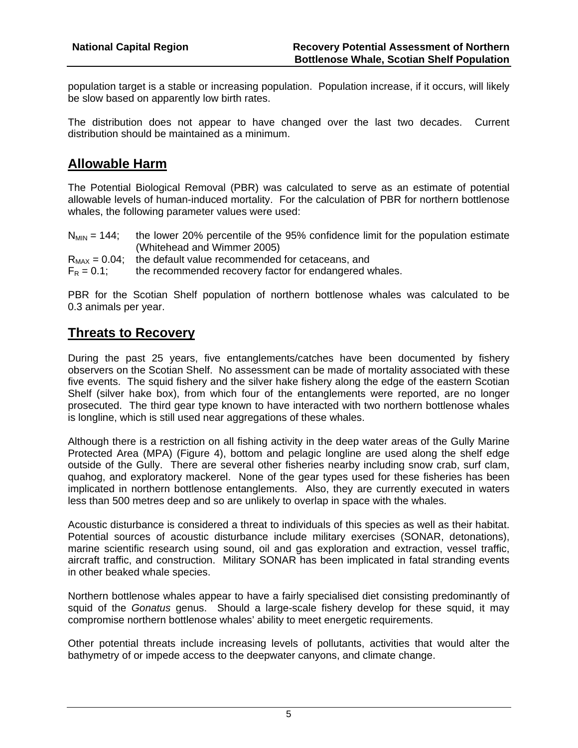population target is a stable or increasing population. Population increase, if it occurs, will likely be slow based on apparently low birth rates.

The distribution does not appear to have changed over the last two decades. Current distribution should be maintained as a minimum.

# **Allowable Harm**

The Potential Biological Removal (PBR) was calculated to serve as an estimate of potential allowable levels of human-induced mortality. For the calculation of PBR for northern bottlenose whales, the following parameter values were used:

| $N_{MIN} = 144$ ; | the lower 20% percentile of the 95% confidence limit for the population estimate |
|-------------------|----------------------------------------------------------------------------------|
|                   | (Whitehead and Wimmer 2005)                                                      |
|                   | $R_{MAX} = 0.04$ ; the default value recommended for cetaceans, and              |
| $F_R = 0.1$ ;     | the recommended recovery factor for endangered whales.                           |

PBR for the Scotian Shelf population of northern bottlenose whales was calculated to be 0.3 animals per year.

### **Threats to Recovery**

During the past 25 years, five entanglements/catches have been documented by fishery observers on the Scotian Shelf. No assessment can be made of mortality associated with these five events. The squid fishery and the silver hake fishery along the edge of the eastern Scotian Shelf (silver hake box), from which four of the entanglements were reported, are no longer prosecuted. The third gear type known to have interacted with two northern bottlenose whales is longline, which is still used near aggregations of these whales.

Although there is a restriction on all fishing activity in the deep water areas of the Gully Marine Protected Area (MPA) (Figure 4), bottom and pelagic longline are used along the shelf edge outside of the Gully. There are several other fisheries nearby including snow crab, surf clam, quahog, and exploratory mackerel. None of the gear types used for these fisheries has been implicated in northern bottlenose entanglements. Also, they are currently executed in waters less than 500 metres deep and so are unlikely to overlap in space with the whales.

Acoustic disturbance is considered a threat to individuals of this species as well as their habitat. Potential sources of acoustic disturbance include military exercises (SONAR, detonations), marine scientific research using sound, oil and gas exploration and extraction, vessel traffic, aircraft traffic, and construction. Military SONAR has been implicated in fatal stranding events in other beaked whale species.

Northern bottlenose whales appear to have a fairly specialised diet consisting predominantly of squid of the *Gonatus* genus. Should a large-scale fishery develop for these squid, it may compromise northern bottlenose whales' ability to meet energetic requirements.

Other potential threats include increasing levels of pollutants, activities that would alter the bathymetry of or impede access to the deepwater canyons, and climate change.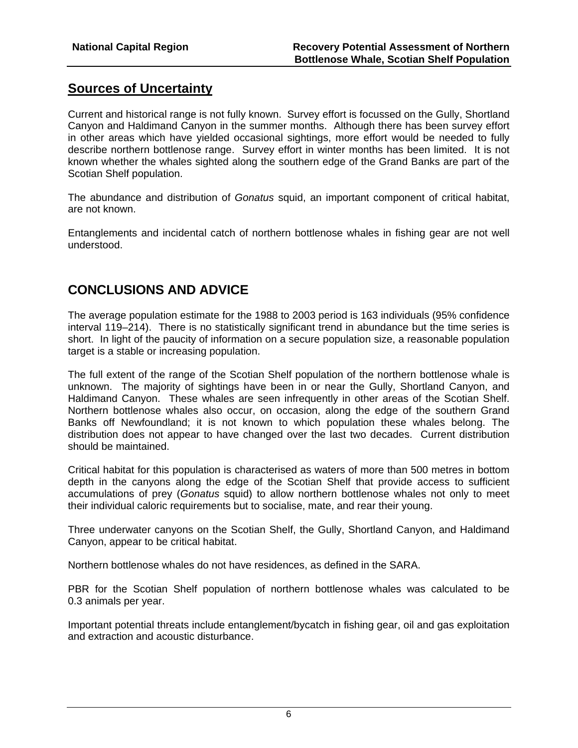# **Sources of Uncertainty**

Current and historical range is not fully known. Survey effort is focussed on the Gully, Shortland Canyon and Haldimand Canyon in the summer months. Although there has been survey effort in other areas which have yielded occasional sightings, more effort would be needed to fully describe northern bottlenose range. Survey effort in winter months has been limited. It is not known whether the whales sighted along the southern edge of the Grand Banks are part of the Scotian Shelf population.

The abundance and distribution of *Gonatus* squid, an important component of critical habitat, are not known.

Entanglements and incidental catch of northern bottlenose whales in fishing gear are not well understood.

### **CONCLUSIONS AND ADVICE**

The average population estimate for the 1988 to 2003 period is 163 individuals (95% confidence interval 119–214). There is no statistically significant trend in abundance but the time series is short. In light of the paucity of information on a secure population size, a reasonable population target is a stable or increasing population.

The full extent of the range of the Scotian Shelf population of the northern bottlenose whale is unknown. The majority of sightings have been in or near the Gully, Shortland Canyon, and Haldimand Canyon. These whales are seen infrequently in other areas of the Scotian Shelf. Northern bottlenose whales also occur, on occasion, along the edge of the southern Grand Banks off Newfoundland; it is not known to which population these whales belong. The distribution does not appear to have changed over the last two decades. Current distribution should be maintained.

Critical habitat for this population is characterised as waters of more than 500 metres in bottom depth in the canyons along the edge of the Scotian Shelf that provide access to sufficient accumulations of prey (*Gonatus* squid) to allow northern bottlenose whales not only to meet their individual caloric requirements but to socialise, mate, and rear their young.

Three underwater canyons on the Scotian Shelf, the Gully, Shortland Canyon, and Haldimand Canyon, appear to be critical habitat.

Northern bottlenose whales do not have residences, as defined in the SARA.

PBR for the Scotian Shelf population of northern bottlenose whales was calculated to be 0.3 animals per year.

Important potential threats include entanglement/bycatch in fishing gear, oil and gas exploitation and extraction and acoustic disturbance.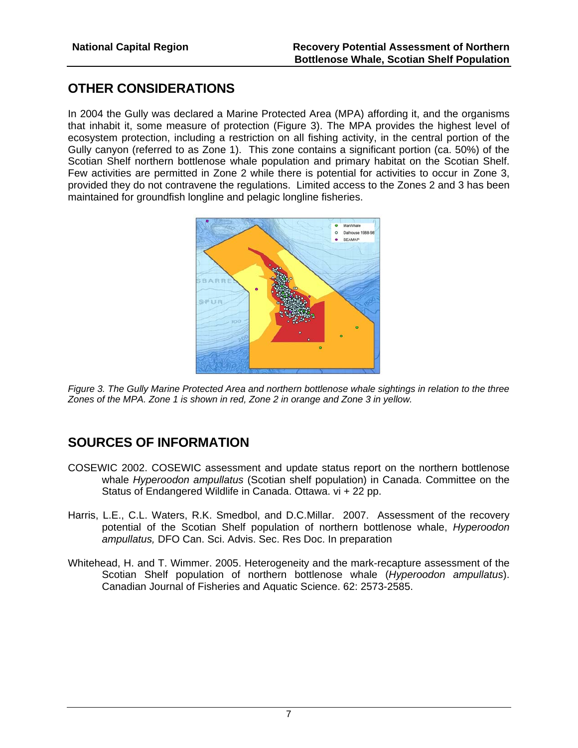# **OTHER CONSIDERATIONS**

In 2004 the Gully was declared a Marine Protected Area (MPA) affording it, and the organisms that inhabit it, some measure of protection (Figure 3). The MPA provides the highest level of ecosystem protection, including a restriction on all fishing activity, in the central portion of the Gully canyon (referred to as Zone 1). This zone contains a significant portion (ca. 50%) of the Scotian Shelf northern bottlenose whale population and primary habitat on the Scotian Shelf. Few activities are permitted in Zone 2 while there is potential for activities to occur in Zone 3, provided they do not contravene the regulations. Limited access to the Zones 2 and 3 has been maintained for groundfish longline and pelagic longline fisheries.



*Figure 3. The Gully Marine Protected Area and northern bottlenose whale sightings in relation to the three Zones of the MPA. Zone 1 is shown in red, Zone 2 in orange and Zone 3 in yellow.* 

# **SOURCES OF INFORMATION**

- COSEWIC 2002. COSEWIC assessment and update status report on the northern bottlenose whale *Hyperoodon ampullatus* (Scotian shelf population) in Canada. Committee on the Status of Endangered Wildlife in Canada. Ottawa. vi + 22 pp.
- Harris, L.E., C.L. Waters, R.K. Smedbol, and D.C.Millar. 2007. Assessment of the recovery potential of the Scotian Shelf population of northern bottlenose whale, *Hyperoodon ampullatus,* DFO Can. Sci. Advis. Sec. Res Doc. In preparation
- Whitehead, H. and T. Wimmer. 2005. Heterogeneity and the mark-recapture assessment of the Scotian Shelf population of northern bottlenose whale (*Hyperoodon ampullatus*). Canadian Journal of Fisheries and Aquatic Science. 62: 2573-2585.